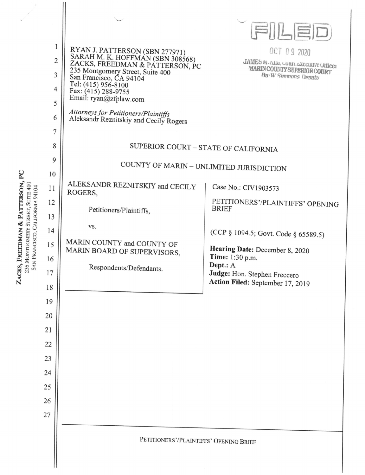|                                                                |                  |                                                                                                       | FILED                                                             |  |
|----------------------------------------------------------------|------------------|-------------------------------------------------------------------------------------------------------|-------------------------------------------------------------------|--|
|                                                                | 1                |                                                                                                       | OCT 09 2020                                                       |  |
|                                                                | $\overline{c}$   | RYAN J. PATTERSON (SBN 277971)<br>SARAH M. K. HOFFMAN (SBN 308568)<br>ZACKS, FREEDMAN & PATTERSON, PC | JAMES iVI. Alivi, COULL EXECUTIVE Officer                         |  |
|                                                                | 3                | 235 Montgomery Street, Suite 400<br>San Francisco, CA 94104                                           | <b>MARIN COUNTY SUPERIOR COURT</b><br><b>Bu: W Simmons Deputy</b> |  |
|                                                                | $\overline{4}$   | Tel: (415) 956-8100<br>Fax: (415) 288-9755                                                            |                                                                   |  |
|                                                                | 5                | Email: ryan@zfplaw.com                                                                                |                                                                   |  |
|                                                                | 6                | Attorneys for Petitioners/Plaintiffs<br>Aleksandr Reznitskiy and Cecily Rogers                        |                                                                   |  |
|                                                                | $\boldsymbol{7}$ |                                                                                                       |                                                                   |  |
|                                                                | 8                |                                                                                                       | SUPERIOR COURT - STATE OF CALIFORNIA                              |  |
| PC                                                             | 9                | COUNTY OF MARIN - UNLIMITED JURISDICTION                                                              |                                                                   |  |
|                                                                | 10               |                                                                                                       |                                                                   |  |
| CKS, FREEDMAN & PATTERSON,<br>235 MONTGOMERY STREET, SUITE 400 | 11               | ALEKSANDR REZNITSKIY and CECILY<br>ROGERS,                                                            | Case No.: CIV1903573                                              |  |
|                                                                | 12               | Petitioners/Plaintiffs,                                                                               | PETITIONERS'/PLAINTIFFS' OPENING<br><b>BRIEF</b>                  |  |
|                                                                | 13               |                                                                                                       |                                                                   |  |
| SAN FRANCISCO, CALIFORNIA 94104                                | 14               | VS.                                                                                                   | (CCP § 1094.5; Govt. Code § 65589.5)                              |  |
|                                                                | 15               | MARIN COUNTY and COUNTY OF                                                                            | Hearing Date: December 8, 2020                                    |  |
|                                                                | 16               | MARIN BOARD OF SUPERVISORS,                                                                           | Time: 1:30 p.m.                                                   |  |
|                                                                | 17               | Respondents/Defendants.                                                                               | Dept.: A<br>Judge: Hon. Stephen Freccero                          |  |
| $Z_{A}$                                                        | 18               |                                                                                                       | Action Filed: September 17, 2019                                  |  |
|                                                                | 19               |                                                                                                       |                                                                   |  |
|                                                                | 20               |                                                                                                       |                                                                   |  |
|                                                                | 21               |                                                                                                       |                                                                   |  |
|                                                                | 22               |                                                                                                       |                                                                   |  |
|                                                                | 23               |                                                                                                       |                                                                   |  |
|                                                                | 24               |                                                                                                       |                                                                   |  |
|                                                                | 25               |                                                                                                       |                                                                   |  |
|                                                                | 26               |                                                                                                       |                                                                   |  |
|                                                                | 27               |                                                                                                       |                                                                   |  |
|                                                                |                  |                                                                                                       |                                                                   |  |
|                                                                |                  | PETITIONERS'/PLAINTIFFS' OPENING BRIEF                                                                |                                                                   |  |
|                                                                |                  |                                                                                                       |                                                                   |  |
|                                                                |                  |                                                                                                       |                                                                   |  |

 $\overline{\phantom{a}}$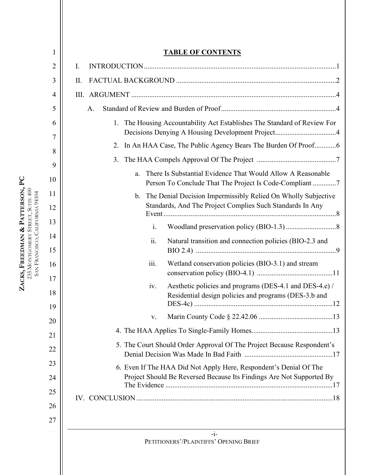| 1              | <b>TABLE OF CONTENTS</b>                                                                                                                  |
|----------------|-------------------------------------------------------------------------------------------------------------------------------------------|
| $\overline{2}$ | I.                                                                                                                                        |
| 3              | II.                                                                                                                                       |
| 4              |                                                                                                                                           |
| 5              | A.                                                                                                                                        |
| 6<br>7         | 1. The Housing Accountability Act Establishes The Standard of Review For                                                                  |
| 8              | 2. In An HAA Case, The Public Agency Bears The Burden Of Proof6                                                                           |
| 9              | 3.                                                                                                                                        |
| 10             | There Is Substantial Evidence That Would Allow A Reasonable<br>a.<br>Person To Conclude That The Project Is Code-Compliant 7              |
| 11             | b. The Denial Decision Impermissibly Relied On Wholly Subjective                                                                          |
| 12             | Standards, And The Project Complies Such Standards In Any                                                                                 |
| 13             | i.                                                                                                                                        |
| 14<br>15       | ii.<br>Natural transition and connection policies (BIO-2.3 and                                                                            |
| 16             | iii.<br>Wetland conservation policies (BIO-3.1) and stream                                                                                |
| 17<br>18       | Aesthetic policies and programs (DES-4.1 and DES-4.e) /<br>iv.<br>Residential design policies and programs (DES-3.b and                   |
| 19             | V.                                                                                                                                        |
| 20             |                                                                                                                                           |
| 21<br>22       | 5. The Court Should Order Approval Of The Project Because Respondent's                                                                    |
| 23<br>24       | 6. Even If The HAA Did Not Apply Here, Respondent's Denial Of The<br>Project Should Be Reversed Because Its Findings Are Not Supported By |
| 25<br>26<br>27 |                                                                                                                                           |
|                | $-i-$<br>PETITIONERS'/PLAINTIFFS' OPENING BRIEF                                                                                           |
|                |                                                                                                                                           |

**ZACKS, FREEDMAN** 

235 SAN

**&**

MONTGOMERY STREET, SUITE 400 FRANCISCO, CALIFORNIA 94104

**PATTERSON, PC**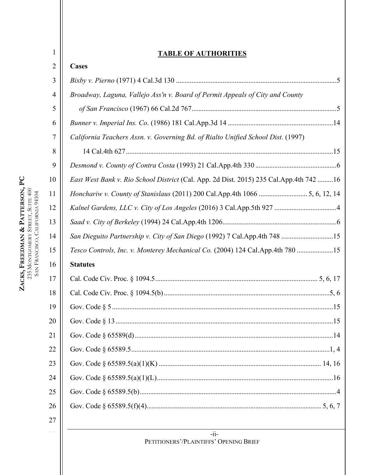## **TABLE OF AUTHORITIES**

| $\overline{2}$ | <b>Cases</b>                                                                              |
|----------------|-------------------------------------------------------------------------------------------|
| 3              |                                                                                           |
| 4              | Broadway, Laguna, Vallejo Ass'n v. Board of Permit Appeals of City and County             |
| 5              |                                                                                           |
| 6              |                                                                                           |
| 7              | California Teachers Assn. v. Governing Bd. of Rialto Unified School Dist. (1997)          |
| 8              |                                                                                           |
| 9              |                                                                                           |
| 10             | East West Bank v. Rio School District (Cal. App. 2d Dist. 2015) 235 Cal. App. 4th 742  16 |
| 11             | Honchariw v. County of Stanislaus (2011) 200 Cal.App.4th 1066  5, 6, 12, 14               |
| 12             |                                                                                           |
| 13             |                                                                                           |
| 14             | San Dieguito Partnership v. City of San Diego (1992) 7 Cal.App.4th 748 15                 |
| 15             | Tesco Controls, Inc. v. Monterey Mechanical Co. (2004) 124 Cal.App.4th 780 15             |
| 16             | <b>Statutes</b>                                                                           |
| 17             |                                                                                           |
| 18             |                                                                                           |
| 19             |                                                                                           |
| 20             |                                                                                           |
| 21             |                                                                                           |
| 22             |                                                                                           |
| 23             |                                                                                           |
| 24             |                                                                                           |
| 25             |                                                                                           |
| 26             |                                                                                           |
| 27             |                                                                                           |

**ZACKS, FREEDMAN & PATTERSON, PC** 235 SAN MONTGOMERY STREET, SUITE 400 FRANCISCO, CALIFORNIA 94104 1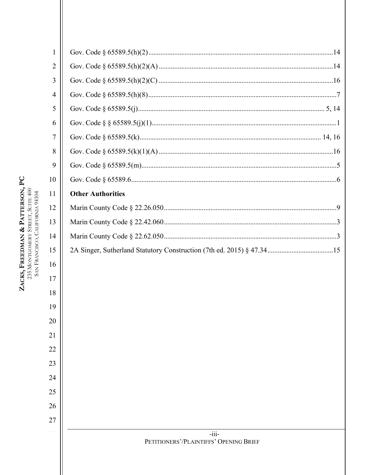| $\mathbf{1}$   |                                                   |
|----------------|---------------------------------------------------|
| $\overline{2}$ |                                                   |
| 3              |                                                   |
| 4              |                                                   |
| 5              |                                                   |
| 6              |                                                   |
| 7              |                                                   |
| 8              |                                                   |
| 9              |                                                   |
| 10             |                                                   |
| 11             | <b>Other Authorities</b>                          |
| 12             |                                                   |
| 13             |                                                   |
| 14             |                                                   |
| 15             |                                                   |
| 16             |                                                   |
| 17             |                                                   |
| 18             |                                                   |
| 19             |                                                   |
| 20             |                                                   |
| 21             |                                                   |
| 22             |                                                   |
| 23             |                                                   |
| 24             |                                                   |
| 25             |                                                   |
| 26             |                                                   |
| 27             |                                                   |
|                | $-iii-$<br>PETITIONERS'/PLAINTIFFS' OPENING BRIEF |
|                |                                                   |

ZACKS, FREEDMAN & PATTERSON, PC  $235$  MONTGOMERY STREET, SUITE  $400$  SAN FRANCISCO, CALIFORNIA  $94104$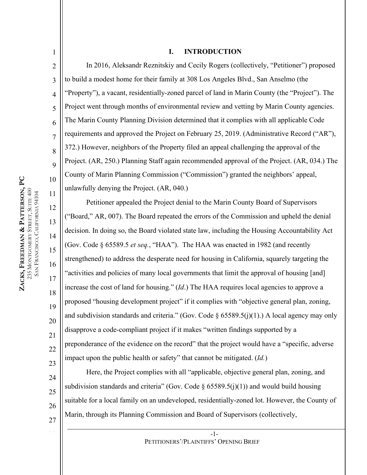1

2

3

4

5

6

7

8

9

17

18

19

20

21

22

23

24

25

26

27

#### **I. INTRODUCTION**

In 2016, Aleksandr Reznitskiy and Cecily Rogers (collectively, "Petitioner") proposed to build a modest home for their family at 308 Los Angeles Blvd., San Anselmo (the "Property"), a vacant, residentially-zoned parcel of land in Marin County (the "Project"). The Project went through months of environmental review and vetting by Marin County agencies. The Marin County Planning Division determined that it complies with all applicable Code requirements and approved the Project on February 25, 2019. (Administrative Record ("AR"), 372.) However, neighbors of the Property filed an appeal challenging the approval of the Project. (AR, 250.) Planning Staff again recommended approval of the Project. (AR, 034.) The County of Marin Planning Commission ("Commission") granted the neighbors' appeal, unlawfully denying the Project. (AR, 040.)

Petitioner appealed the Project denial to the Marin County Board of Supervisors ("Board," AR, 007). The Board repeated the errors of the Commission and upheld the denial decision. In doing so, the Board violated state law, including the Housing Accountability Act (Gov. Code § 65589.5 *et seq.*, "HAA"). The HAA was enacted in 1982 (and recently strengthened) to address the desperate need for housing in California, squarely targeting the "activities and policies of many local governments that limit the approval of housing [and] increase the cost of land for housing." (*Id*.) The HAA requires local agencies to approve a proposed "housing development project" if it complies with "objective general plan, zoning, and subdivision standards and criteria." (Gov. Code § 65589.5(j)(1).) A local agency may only disapprove a code-compliant project if it makes "written findings supported by a preponderance of the evidence on the record" that the project would have a "specific, adverse impact upon the public health or safety" that cannot be mitigated. (*Id.*)

Here, the Project complies with all "applicable, objective general plan, zoning, and subdivision standards and criteria" (Gov. Code  $\S$  65589.5(j)(1)) and would build housing suitable for a local family on an undeveloped, residentially-zoned lot. However, the County of Marin, through its Planning Commission and Board of Supervisors (collectively,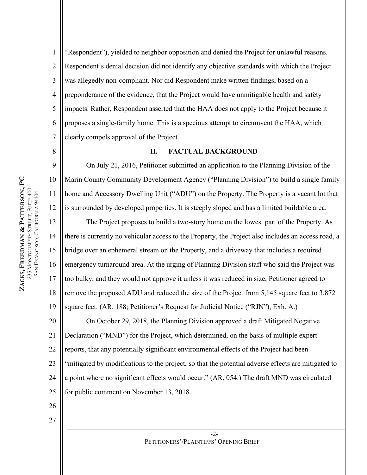2

3

5

7

8

9

10

11

12

4 6 "Respondent"), yielded to neighbor opposition and denied the Project for unlawful reasons. Respondent's denial decision did not identify any objective standards with which the Project was allegedly non-compliant. Nor did Respondent make written findings, based on a preponderance of the evidence, that the Project would have unmitigable health and safety impacts. Rather, Respondent asserted that the HAA does not apply to the Project because it proposes a single-family home. This is a specious attempt to circumvent the HAA, which clearly compels approval of the Project.

#### **II. FACTUAL BACKGROUND**

On July 21, 2016, Petitioner submitted an application to the Planning Division of the Marin County Community Development Agency ("Planning Division") to build a single family home and Accessory Dwelling Unit ("ADU") on the Property. The Property is a vacant lot that is surrounded by developed properties. It is steeply sloped and has a limited buildable area.

13 14 15 16 17 18 19 The Project proposes to build a two-story home on the lowest part of the Property. As there is currently no vehicular access to the Property, the Project also includes an access road, a bridge over an ephemeral stream on the Property, and a driveway that includes a required emergency turnaround area. At the urging of Planning Division staff who said the Project was too bulky, and they would not approve it unless it was reduced in size, Petitioner agreed to remove the proposed ADU and reduced the size of the Project from 5,145 square feet to 3,872 square feet. (AR, 188; Petitioner's Request for Judicial Notice ("RJN"), Exh. A.)

20 21 22 23 24 25 On October 29, 2018, the Planning Division approved a draft Mitigated Negative Declaration ("MND") for the Project, which determined, on the basis of multiple expert reports, that any potentially significant environmental effects of the Project had been "mitigated by modifications to the project, so that the potential adverse effects are mitigated to a point where no significant effects would occur." (AR, 054.) The draft MND was circulated for public comment on November 13, 2018.

- 26
- 27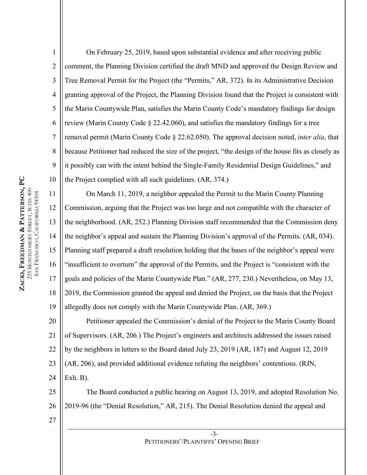1

2

3

4

5

7

9

10

11

6 8 On February 25, 2019, based upon substantial evidence and after receiving public comment, the Planning Division certified the draft MND and approved the Design Review and Tree Removal Permit for the Project (the "Permits," AR, 372). In its Administrative Decision granting approval of the Project, the Planning Division found that the Project is consistent with the Marin Countywide Plan, satisfies the Marin County Code's mandatory findings for design review (Marin County Code § 22.42.060), and satisfies the mandatory findings for a tree removal permit (Marin County Code § 22.62.050). The approval decision noted, *inter alia*, that because Petitioner had reduced the size of the project, "the design of the house fits as closely as it possibly can with the intent behind the Single-Family Residential Design Guidelines," and the Project complied with all such guidelines. (AR, 374.)

12 13 14 15 16 17 18 19 On March 11, 2019, a neighbor appealed the Permit to the Marin County Planning Commission, arguing that the Project was too large and not compatible with the character of the neighborhood. (AR, 252.) Planning Division staff recommended that the Commission deny the neighbor's appeal and sustain the Planning Division's approval of the Permits. (AR, 034). Planning staff prepared a draft resolution holding that the bases of the neighbor's appeal were "insufficient to overturn" the approval of the Permits, and the Project is "consistent with the goals and policies of the Marin Countywide Plan." (AR, 277, 230.) Nevertheless, on May 13, 2019, the Commission granted the appeal and denied the Project, on the basis that the Project allegedly does not comply with the Marin Countywide Plan. (AR, 369.)

20 21 22 23 24 Petitioner appealed the Commission's denial of the Project to the Marin County Board of Supervisors. (AR, 206.) The Project's engineers and architects addressed the issues raised by the neighbors in letters to the Board dated July 23, 2019 (AR, 187) and August 12, 2019 (AR, 206), and provided additional evidence refuting the neighbors' contentions. (RJN,  $Exh. B$ ).

25 26 The Board conducted a public hearing on August 13, 2019, and adopted Resolution No. 2019-96 (the "Denial Resolution," AR, 215). The Denial Resolution denied the appeal and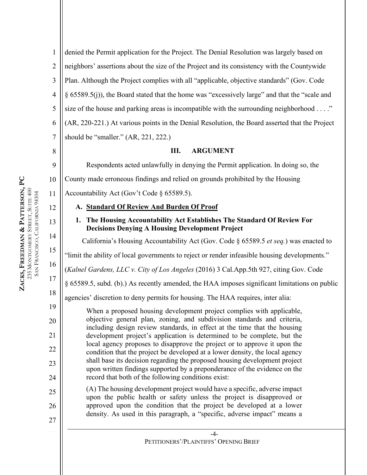9

10

12

13

14

15

16

17

18

19

20

21

22

23

24

25

26

1 2 3 4 5 6 7 denied the Permit application for the Project. The Denial Resolution was largely based on neighbors' assertions about the size of the Project and its consistency with the Countywide Plan. Although the Project complies with all "applicable, objective standards" (Gov. Code § 65589.5(j)), the Board stated that the home was "excessively large" and that the "scale and size of the house and parking areas is incompatible with the surrounding neighborhood . . . ." (AR, 220-221.) At various points in the Denial Resolution, the Board asserted that the Project should be "smaller." (AR, 221, 222.)

### **III. ARGUMENT**

Respondents acted unlawfully in denying the Permit application. In doing so, the

County made erroneous findings and relied on grounds prohibited by the Housing

11 Accountability Act (Gov't Code § 65589.5).

# **A. Standard Of Review And Burden Of Proof**

# **1. The Housing Accountability Act Establishes The Standard Of Review For Decisions Denying A Housing Development Project**

California's Housing Accountability Act (Gov. Code § 65589.5 *et seq.*) was enacted to

"limit the ability of local governments to reject or render infeasible housing developments."

(*Kalnel Gardens, LLC v. City of Los Angeles* (2016) 3 Cal.App.5th 927, citing Gov. Code

§ 65589.5, subd. (b).) As recently amended, the HAA imposes significant limitations on public

agencies' discretion to deny permits for housing. The HAA requires, inter alia:

When a proposed housing development project complies with applicable, objective general plan, zoning, and subdivision standards and criteria, including design review standards, in effect at the time that the housing development project's application is determined to be complete, but the local agency proposes to disapprove the project or to approve it upon the condition that the project be developed at a lower density, the local agency shall base its decision regarding the proposed housing development project upon written findings supported by a preponderance of the evidence on the record that both of the following conditions exist:

(A) The housing development project would have a specific, adverse impact upon the public health or safety unless the project is disapproved or approved upon the condition that the project be developed at a lower density. As used in this paragraph, a "specific, adverse impact" means a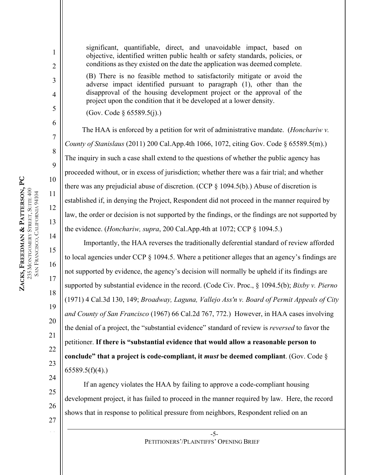1

2

3

4

5

6

7

8

9

10

11

12

13

14

15

16

17

18

19

20

21

22

23

24

significant, quantifiable, direct, and unavoidable impact, based on objective, identified written public health or safety standards, policies, or conditions as they existed on the date the application was deemed complete. (B) There is no feasible method to satisfactorily mitigate or avoid the

adverse impact identified pursuant to paragraph (1), other than the disapproval of the housing development project or the approval of the project upon the condition that it be developed at a lower density.

(Gov. Code § 65589.5(j).)

The HAA is enforced by a petition for writ of administrative mandate. (*Honchariw v. County of Stanislaus* (2011) 200 Cal.App.4th 1066, 1072, citing Gov. Code § 65589.5(m).) The inquiry in such a case shall extend to the questions of whether the public agency has proceeded without, or in excess of jurisdiction; whether there was a fair trial; and whether there was any prejudicial abuse of discretion. (CCP  $\S$  1094.5(b).) Abuse of discretion is established if, in denying the Project, Respondent did not proceed in the manner required by law, the order or decision is not supported by the findings, or the findings are not supported by the evidence. (*Honchariw, supra*, 200 Cal.App.4th at 1072; CCP § 1094.5.)

Importantly, the HAA reverses the traditionally deferential standard of review afforded to local agencies under CCP § 1094.5. Where a petitioner alleges that an agency's findings are not supported by evidence, the agency's decision will normally be upheld if its findings are supported by substantial evidence in the record. (Code Civ. Proc., § 1094.5(b); *Bixby v. Pierno*  (1971) 4 Cal.3d 130, 149; *Broadway, Laguna, Vallejo Ass'n v. Board of Permit Appeals of City and County of San Francisco* (1967) 66 Cal.2d 767, 772.) However, in HAA cases involving the denial of a project, the "substantial evidence" standard of review is *reversed* to favor the petitioner. **If there is "substantial evidence that would allow a reasonable person to conclude" that a project is code-compliant, it** *must* **be deemed compliant**. (Gov. Code §  $65589.5(f)(4)$ .)

If an agency violates the HAA by failing to approve a code-compliant housing development project, it has failed to proceed in the manner required by law. Here, the record shows that in response to political pressure from neighbors, Respondent relied on an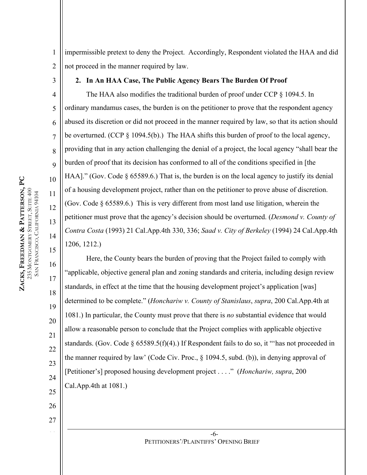1 2 impermissible pretext to deny the Project. Accordingly, Respondent violated the HAA and did not proceed in the manner required by law.

3

4

5

6

7

8

9

10

11

12

13

14

15

16

17

18

19

20

21

22

23

24

25

26

27

### **2. In An HAA Case, The Public Agency Bears The Burden Of Proof**

The HAA also modifies the traditional burden of proof under CCP § 1094.5. In ordinary mandamus cases, the burden is on the petitioner to prove that the respondent agency abused its discretion or did not proceed in the manner required by law, so that its action should be overturned. (CCP § 1094.5(b).) The HAA shifts this burden of proof to the local agency, providing that in any action challenging the denial of a project, the local agency "shall bear the burden of proof that its decision has conformed to all of the conditions specified in [the HAA]." (Gov. Code § 65589.6.) That is, the burden is on the local agency to justify its denial of a housing development project, rather than on the petitioner to prove abuse of discretion. (Gov. Code § 65589.6.) This is very different from most land use litigation, wherein the petitioner must prove that the agency's decision should be overturned. (*Desmond v. County of Contra Costa* (1993) 21 Cal.App.4th 330, 336; *Saad v. City of Berkeley* (1994) 24 Cal.App.4th 1206, 1212.)

Here, the County bears the burden of proving that the Project failed to comply with "applicable, objective general plan and zoning standards and criteria, including design review standards, in effect at the time that the housing development project's application [was] determined to be complete." (*Honchariw v. County of Stanislaus*, *supra*, 200 Cal.App.4th at 1081.) In particular, the County must prove that there is *no* substantial evidence that would allow a reasonable person to conclude that the Project complies with applicable objective standards. (Gov. Code § 65589.5(f)(4).) If Respondent fails to do so, it "'has not proceeded in the manner required by law' (Code Civ. Proc., § 1094.5, subd. (b)), in denying approval of [Petitioner's] proposed housing development project . . . ." (*Honchariw, supra*, 200 Cal.App.4th at 1081.)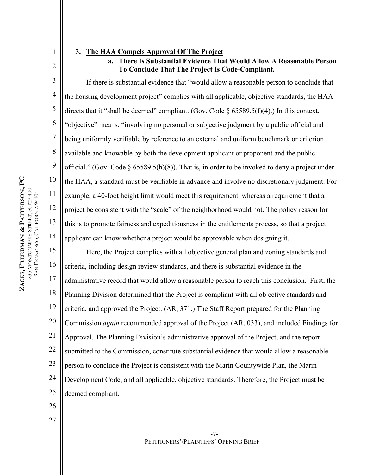3

4

5

6

7

8

9

10

11

12

13

14

**ZACKS, FREEDMAN** 

**&**

235 MONTGOMERY STREET, SUITE 400 MONTGOMERY STREET, SUITE 400 SAN FRANCISCO, CALIFORNIA 94104 FRANCISCO, CALIFORNIA 94104

**PATTERSON, PC**

1

#### **3. The HAA Compels Approval Of The Project**

**a. There Is Substantial Evidence That Would Allow A Reasonable Person To Conclude That The Project Is Code-Compliant.**

If there is substantial evidence that "would allow a reasonable person to conclude that the housing development project" complies with all applicable, objective standards, the HAA directs that it "shall be deemed" compliant. (Gov. Code  $\delta$  65589.5(f)(4).) In this context, "objective" means: "involving no personal or subjective judgment by a public official and being uniformly verifiable by reference to an external and uniform benchmark or criterion available and knowable by both the development applicant or proponent and the public official." (Gov. Code  $\S 65589.5(h)(8)$ ). That is, in order to be invoked to deny a project under the HAA, a standard must be verifiable in advance and involve no discretionary judgment. For example, a 40-foot height limit would meet this requirement, whereas a requirement that a project be consistent with the "scale" of the neighborhood would not. The policy reason for this is to promote fairness and expeditiousness in the entitlements process, so that a project applicant can know whether a project would be approvable when designing it.

15 16 17 18 19 20 21 22 23 24 25 Here, the Project complies with all objective general plan and zoning standards and criteria, including design review standards, and there is substantial evidence in the administrative record that would allow a reasonable person to reach this conclusion. First, the Planning Division determined that the Project is compliant with all objective standards and criteria, and approved the Project. (AR, 371.) The Staff Report prepared for the Planning Commission *again* recommended approval of the Project (AR, 033), and included Findings for Approval. The Planning Division's administrative approval of the Project, and the report submitted to the Commission, constitute substantial evidence that would allow a reasonable person to conclude the Project is consistent with the Marin Countywide Plan, the Marin Development Code, and all applicable, objective standards. Therefore, the Project must be deemed compliant.

26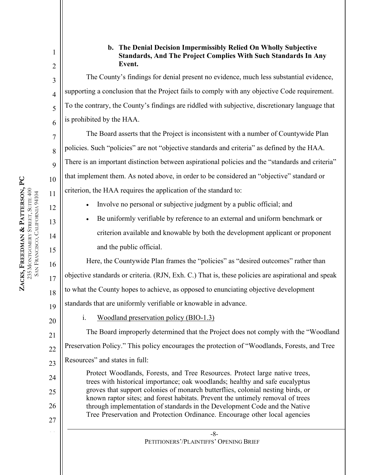4

5

6

7

8

9

10

11

12

13

14

15

16

17

18

1

## **b. The Denial Decision Impermissibly Relied On Wholly Subjective Standards, And The Project Complies With Such Standards In Any Event.**

The County's findings for denial present no evidence, much less substantial evidence, supporting a conclusion that the Project fails to comply with any objective Code requirement. To the contrary, the County's findings are riddled with subjective, discretionary language that is prohibited by the HAA.

The Board asserts that the Project is inconsistent with a number of Countywide Plan policies. Such "policies" are not "objective standards and criteria" as defined by the HAA. There is an important distinction between aspirational policies and the "standards and criteria" that implement them. As noted above, in order to be considered an "objective" standard or criterion, the HAA requires the application of the standard to:

- Involve no personal or subjective judgment by a public official; and
- Be uniformly verifiable by reference to an external and uniform benchmark or criterion available and knowable by both the development applicant or proponent and the public official.

Here, the Countywide Plan frames the "policies" as "desired outcomes" rather than objective standards or criteria. (RJN, Exh. C.) That is, these policies are aspirational and speak to what the County hopes to achieve, as opposed to enunciating objective development standards that are uniformly verifiable or knowable in advance.

19 20

24

25

26

27

i. Woodland preservation policy (BIO-1.3)

21 22 23 The Board improperly determined that the Project does not comply with the "Woodland Preservation Policy." This policy encourages the protection of "Woodlands, Forests, and Tree Resources" and states in full:

Protect Woodlands, Forests, and Tree Resources. Protect large native trees, trees with historical importance; oak woodlands; healthy and safe eucalyptus groves that support colonies of monarch butterflies, colonial nesting birds, or known raptor sites; and forest habitats. Prevent the untimely removal of trees through implementation of standards in the Development Code and the Native Tree Preservation and Protection Ordinance. Encourage other local agencies

**ZACKS, FREEDMAN & PATTERSON, PC** 235 MONTGOMERY STREET, SUITE 400 MONTGOMERY STREET, SUITE 400 SAN FRANCISCO, CALIFORNIA 94104 FRANCISCO, CALIFORNIA 94104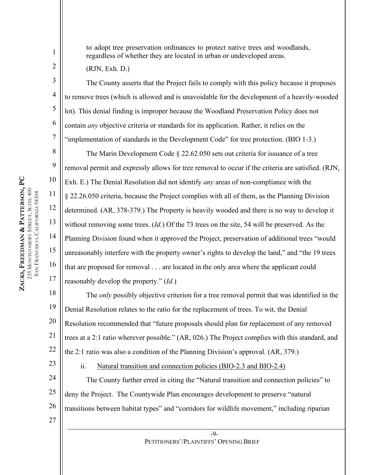to adopt tree preservation ordinances to protect native trees and woodlands, regardless of whether they are located in urban or undeveloped areas.

(RJN, Exh. D.)

1

2

3

4

5

6

7

8

9

10

11

12

13

14

15

16

17

The County asserts that the Project fails to comply with this policy because it proposes to remove trees (which is allowed and is unavoidable for the development of a heavily-wooded lot). This denial finding is improper because the Woodland Preservation Policy does not contain *any* objective criteria or standards for its application. Rather, it relies on the "implementation of standards in the Development Code" for tree protection. (BIO 1-3.)

The Marin Development Code § 22.62.050 sets out criteria for issuance of a tree removal permit and expressly allows for tree removal to occur if the criteria are satisfied. (RJN, Exh. E.) The Denial Resolution did not identify *any* areas of non-compliance with the § 22.26.050 criteria, because the Project complies with all of them, as the Planning Division determined. (AR, 378-379.) The Property is heavily wooded and there is no way to develop it without removing some trees. (*Id.*) Of the 73 trees on the site, 54 will be preserved. As the Planning Division found when it approved the Project, preservation of additional trees "would unreasonably interfere with the property owner's rights to develop the land," and "the 19 trees that are proposed for removal . . . are located in the only area where the applicant could reasonably develop the property." (*Id.*)

18 19 20 21 22 The *only* possibly objective criterion for a tree removal permit that was identified in the Denial Resolution relates to the ratio for the replacement of trees. To wit, the Denial Resolution recommended that "future proposals should plan for replacement of any removed trees at a 2:1 ratio wherever possible." (AR, 026.) The Project complies with this standard, and the 2:1 ratio was also a condition of the Planning Division's approval. (AR, 379.)

23

27

## ii. Natural transition and connection policies (BIO-2.3 and BIO-2.4)

24 25 26 The County further erred in citing the "Natural transition and connection policies" to deny the Project. The Countywide Plan encourages development to preserve "natural transitions between habitat types" and "corridors for wildlife movement," including riparian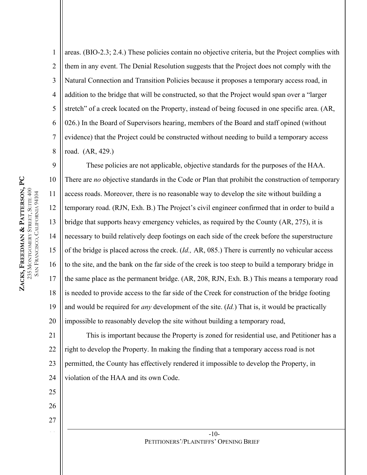1 2 3 4 5 6 7 8 areas. (BIO-2.3; 2.4.) These policies contain no objective criteria, but the Project complies with them in any event. The Denial Resolution suggests that the Project does not comply with the Natural Connection and Transition Policies because it proposes a temporary access road, in addition to the bridge that will be constructed, so that the Project would span over a "larger stretch" of a creek located on the Property, instead of being focused in one specific area. (AR, 026.) In the Board of Supervisors hearing, members of the Board and staff opined (without evidence) that the Project could be constructed without needing to build a temporary access road. (AR, 429.)

9 10 11 12 13 14 15 16 17 18 19 20 These policies are not applicable, objective standards for the purposes of the HAA. There are *no* objective standards in the Code or Plan that prohibit the construction of temporary access roads. Moreover, there is no reasonable way to develop the site without building a temporary road. (RJN, Exh. B.) The Project's civil engineer confirmed that in order to build a bridge that supports heavy emergency vehicles, as required by the County (AR, 275), it is necessary to build relatively deep footings on each side of the creek before the superstructure of the bridge is placed across the creek. (*Id.,* AR, 085.) There is currently no vehicular access to the site, and the bank on the far side of the creek is too steep to build a temporary bridge in the same place as the permanent bridge. (AR, 208, RJN, Exh. B.) This means a temporary road is needed to provide access to the far side of the Creek for construction of the bridge footing and would be required for *any* development of the site. (*Id.*) That is, it would be practically impossible to reasonably develop the site without building a temporary road,

21 22 23 24 This is important because the Property is zoned for residential use, and Petitioner has a right to develop the Property. In making the finding that a temporary access road is not permitted, the County has effectively rendered it impossible to develop the Property, in violation of the HAA and its own Code.

25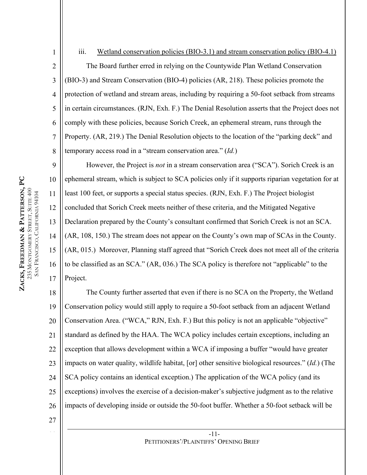4 8 iii. Wetland conservation policies (BIO-3.1) and stream conservation policy (BIO-4.1) The Board further erred in relying on the Countywide Plan Wetland Conservation (BIO-3) and Stream Conservation (BIO-4) policies (AR, 218). These policies promote the protection of wetland and stream areas, including by requiring a 50-foot setback from streams in certain circumstances. (RJN, Exh. F.) The Denial Resolution asserts that the Project does not comply with these policies, because Sorich Creek, an ephemeral stream, runs through the Property. (AR, 219.) The Denial Resolution objects to the location of the "parking deck" and temporary access road in a "stream conservation area." (*Id.*)

9 10 12 13 14 15 16 17 However, the Project is *not* in a stream conservation area ("SCA"). Sorich Creek is an ephemeral stream, which is subject to SCA policies only if it supports riparian vegetation for at least 100 feet, or supports a special status species. (RJN, Exh. F.) The Project biologist concluded that Sorich Creek meets neither of these criteria, and the Mitigated Negative Declaration prepared by the County's consultant confirmed that Sorich Creek is not an SCA. (AR, 108, 150.) The stream does not appear on the County's own map of SCAs in the County. (AR, 015.) Moreover, Planning staff agreed that "Sorich Creek does not meet all of the criteria to be classified as an SCA." (AR, 036.) The SCA policy is therefore not "applicable" to the Project.

18 19 20 21 22 23 24 25 26 The County further asserted that even if there is no SCA on the Property, the Wetland Conservation policy would still apply to require a 50-foot setback from an adjacent Wetland Conservation Area. ("WCA," RJN, Exh. F.) But this policy is not an applicable "objective" standard as defined by the HAA. The WCA policy includes certain exceptions, including an exception that allows development within a WCA if imposing a buffer "would have greater impacts on water quality, wildlife habitat, [or] other sensitive biological resources." (*Id.*) (The SCA policy contains an identical exception.) The application of the WCA policy (and its exceptions) involves the exercise of a decision-maker's subjective judgment as to the relative impacts of developing inside or outside the 50-foot buffer. Whether a 50-foot setback will be

27

1

2

3

5

6

7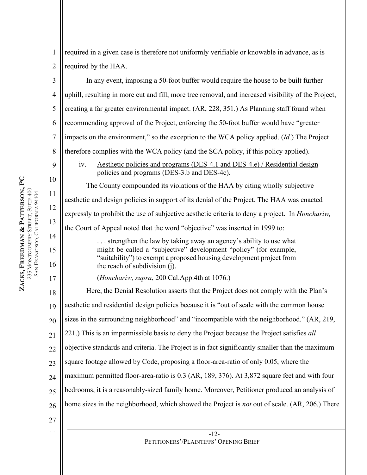4

5

6

7

8

9

10

11

12

13

14

15

16

17

27

1 2 required in a given case is therefore not uniformly verifiable or knowable in advance, as is required by the HAA.

In any event, imposing a 50-foot buffer would require the house to be built further uphill, resulting in more cut and fill, more tree removal, and increased visibility of the Project, creating a far greater environmental impact. (AR, 228, 351.) As Planning staff found when recommending approval of the Project, enforcing the 50-foot buffer would have "greater impacts on the environment," so the exception to the WCA policy applied. (*Id.*) The Project therefore complies with the WCA policy (and the SCA policy, if this policy applied).

iv. Aesthetic policies and programs (DES-4.1 and DES-4.e) / Residential design policies and programs (DES-3.b and DES-4c).

The County compounded its violations of the HAA by citing wholly subjective aesthetic and design policies in support of its denial of the Project. The HAA was enacted expressly to prohibit the use of subjective aesthetic criteria to deny a project. In *Honchariw,* the Court of Appeal noted that the word "objective" was inserted in 1999 to:

> . . . strengthen the law by taking away an agency's ability to use what might be called a "subjective" development "policy" (for example, "suitability") to exempt a proposed housing development project from the reach of subdivision (j).

(*Honchariw, supra*, 200 Cal.App.4th at 1076.)

18 19 20 21 22 23 24  $25$ 26 Here, the Denial Resolution asserts that the Project does not comply with the Plan's aesthetic and residential design policies because it is "out of scale with the common house sizes in the surrounding neighborhood" and "incompatible with the neighborhood." (AR, 219, 221.) This is an impermissible basis to deny the Project because the Project satisfies *all* objective standards and criteria. The Project is in fact significantly smaller than the maximum square footage allowed by Code, proposing a floor-area-ratio of only 0.05, where the maximum permitted floor-area-ratio is 0.3 (AR, 189, 376). At 3,872 square feet and with four bedrooms, it is a reasonably-sized family home. Moreover, Petitioner produced an analysis of home sizes in the neighborhood, which showed the Project is *not* out of scale. (AR, 206.) There

> -12- PETITIONERS'/PLAINTIFFS' OPENING BRIEF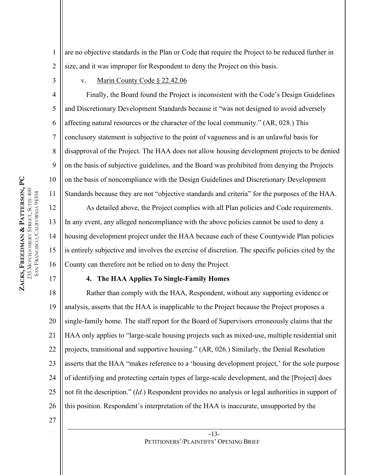are no objective standards in the Plan or Code that require the Project to be reduced further in size, and it was improper for Respondent to deny the Project on this basis.

3

4

5

6

7

9

10

11

13

15

17

1

2

v. Marin County Code § 22.42.06

8 Finally, the Board found the Project is inconsistent with the Code's Design Guidelines and Discretionary Development Standards because it "was not designed to avoid adversely affecting natural resources or the character of the local community." (AR, 028.) This conclusory statement is subjective to the point of vagueness and is an unlawful basis for disapproval of the Project. The HAA does not allow housing development projects to be denied on the basis of subjective guidelines, and the Board was prohibited from denying the Projects on the basis of noncompliance with the Design Guidelines and Discretionary Development Standards because they are not "objective standards and criteria" for the purposes of the HAA.

12 14 16 As detailed above, the Project complies with all Plan policies and Code requirements. In any event, any alleged noncompliance with the above policies cannot be used to deny a housing development project under the HAA because each of these Countywide Plan policies is entirely subjective and involves the exercise of discretion. The specific policies cited by the County can therefore not be relied on to deny the Project.

### **4. The HAA Applies To Single-Family Homes**

18 19 20 21 22 23 24 25 26 Rather than comply with the HAA, Respondent, without any supporting evidence or analysis, asserts that the HAA is inapplicable to the Project because the Project proposes a single-family home. The staff report for the Board of Supervisors erroneously claims that the HAA only applies to "large-scale housing projects such as mixed-use, multiple residential unit projects, transitional and supportive housing." (AR, 026.) Similarly, the Denial Resolution asserts that the HAA "makes reference to a 'housing development project,' for the sole purpose of identifying and protecting certain types of large-scale development, and the [Project] does not fit the description." (*Id*.) Respondent provides no analysis or legal authorities in support of this position. Respondent's interpretation of the HAA is inaccurate, unsupported by the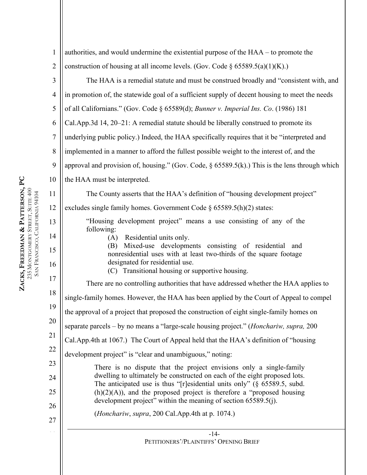| $\mathbf{1}$   | authorities, and would undermine the existential purpose of the $HAA -$ to promote the                                                                    |
|----------------|-----------------------------------------------------------------------------------------------------------------------------------------------------------|
| $\overline{2}$ | construction of housing at all income levels. (Gov. Code $\S$ 65589.5(a)(1)(K).)                                                                          |
| 3              | The HAA is a remedial statute and must be construed broadly and "consistent with, and                                                                     |
| $\overline{4}$ | in promotion of, the statewide goal of a sufficient supply of decent housing to meet the needs                                                            |
| 5              | of all Californians." (Gov. Code § 65589(d); Bunner v. Imperial Ins. Co. (1986) 181                                                                       |
| 6              | Cal.App.3d 14, 20–21: A remedial statute should be liberally construed to promote its                                                                     |
| $\tau$         | underlying public policy.) Indeed, the HAA specifically requires that it be "interpreted and                                                              |
| 8              | implemented in a manner to afford the fullest possible weight to the interest of, and the                                                                 |
| 9              | approval and provision of, housing." (Gov. Code, $\S$ 65589.5(k).) This is the lens through which                                                         |
| 10             | the HAA must be interpreted.                                                                                                                              |
| 11             | The County asserts that the HAA's definition of "housing development project"                                                                             |
| 12             | excludes single family homes. Government Code $\S$ 65589.5(h)(2) states:                                                                                  |
| 13             | "Housing development project" means a use consisting of any of the                                                                                        |
| 14             | following:<br>(A) Residential units only.                                                                                                                 |
| 15             | Mixed-use developments consisting of residential<br>and<br>(B)<br>nonresidential uses with at least two-thirds of the square footage                      |
| 16             | designated for residential use.<br>(C) Transitional housing or supportive housing.                                                                        |
| 17             | There are no controlling authorities that have addressed whether the HAA applies to                                                                       |
| 18             | single-family homes. However, the HAA has been applied by the Court of Appeal to compel                                                                   |
| 19             | the approval of a project that proposed the construction of eight single-family homes on                                                                  |
| 20             | separate parcels – by no means a "large-scale housing project." ( <i>Honchariw</i> , <i>supra</i> , 200                                                   |
| 21             | Cal.App.4th at 1067.) The Court of Appeal held that the HAA's definition of "housing                                                                      |
| 22             | development project" is "clear and unambiguous," noting:                                                                                                  |
| 23             | There is no dispute that the project envisions only a single-family                                                                                       |
| 24             | dwelling to ultimately be constructed on each of the eight proposed lots.<br>The anticipated use is thus "[r]esidential units only" ( $\S$ 65589.5, subd. |
| 25             | $(h)(2)(A)$ , and the proposed project is therefore a "proposed housing<br>development project" within the meaning of section 65589.5(j).                 |
| 26             | ( <i>Honchariw</i> , <i>supra</i> , 200 Cal.App.4th at p. 1074.)                                                                                          |
| 27             |                                                                                                                                                           |
|                | $-14-$<br>PETITIONERS'/PLAINTIFFS' OPENING BRIEF                                                                                                          |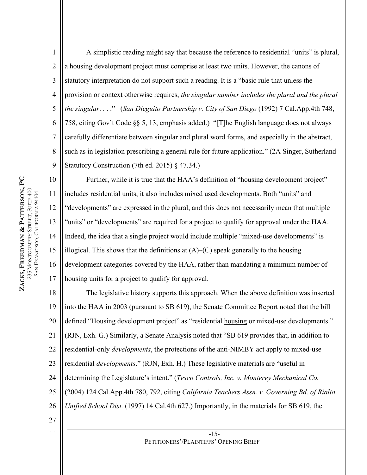1 2 3 4 5 6 7 8 9 A simplistic reading might say that because the reference to residential "units" is plural, a housing development project must comprise at least two units. However, the canons of statutory interpretation do not support such a reading. It is a "basic rule that unless the provision or context otherwise requires, *the singular number includes the plural and the plural the singular*. . . ." (*San Dieguito Partnership v. City of San Diego* (1992) 7 Cal.App.4th 748, 758, citing Gov't Code §§ 5, 13, emphasis added.) "[T]he English language does not always carefully differentiate between singular and plural word forms, and especially in the abstract, such as in legislation prescribing a general rule for future application." (2A Singer, Sutherland Statutory Construction (7th ed. 2015) § 47.34.)

**ZACKS, FREEDMAN & PATTERSON, PC** 235 MONTGOMERY STREET, SUITE 400 MONTGOMERY STREET, SUITE 400 SAN FRANCISCO, CALIFORNIA 94104 FRANCISCO, CALIFORNIA 94104

10 11 12 13 14 15 16 17 Further, while it is true that the HAA's definition of "housing development project" includes residential units, it also includes mixed used developments. Both "units" and "developments" are expressed in the plural, and this does not necessarily mean that multiple "units" or "developments" are required for a project to qualify for approval under the HAA. Indeed, the idea that a single project would include multiple "mixed-use developments" is illogical. This shows that the definitions at  $(A)$ – $(C)$  speak generally to the housing development categories covered by the HAA, rather than mandating a minimum number of housing units for a project to qualify for approval.

18 19 20 21 22 23 24 25 26 The legislative history supports this approach. When the above definition was inserted into the HAA in 2003 (pursuant to SB 619), the Senate Committee Report noted that the bill defined "Housing development project" as "residential housing or mixed-use developments." (RJN, Exh. G.) Similarly, a Senate Analysis noted that "SB 619 provides that, in addition to residential-only *developments*, the protections of the anti-NIMBY act apply to mixed-use residential *developments*." (RJN, Exh. H.) These legislative materials are "useful in determining the Legislature's intent." (*Tesco Controls, Inc. v. Monterey Mechanical Co.* (2004) 124 Cal.App.4th 780, 792, citing *California Teachers Assn. v. Governing Bd. of Rialto Unified School Dist.* (1997) 14 Cal.4th 627.) Importantly, in the materials for SB 619, the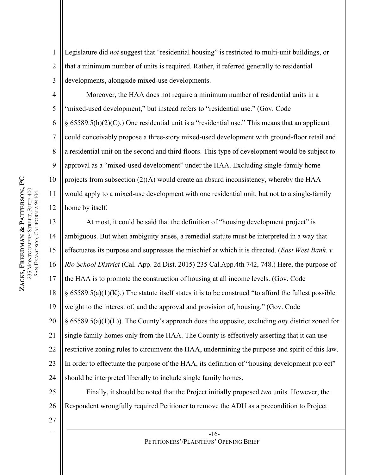1 2 3 Legislature did *not* suggest that "residential housing" is restricted to multi-unit buildings, or that a minimum number of units is required. Rather, it referred generally to residential developments, alongside mixed-use developments.

Moreover, the HAA does not require a minimum number of residential units in a "mixed-used development," but instead refers to "residential use." (Gov. Code § 65589.5(h)(2)(C).) One residential unit is a "residential use." This means that an applicant could conceivably propose a three-story mixed-used development with ground-floor retail and a residential unit on the second and third floors. This type of development would be subject to approval as a "mixed-used development" under the HAA. Excluding single-family home projects from subsection (2)(A) would create an absurd inconsistency, whereby the HAA would apply to a mixed-use development with one residential unit, but not to a single-family home by itself.

13 14 15 16 17 18 19 20 21 22 23 24 At most, it could be said that the definition of "housing development project" is ambiguous. But when ambiguity arises, a remedial statute must be interpreted in a way that effectuates its purpose and suppresses the mischief at which it is directed. (*East West Bank. v. Rio School District* (Cal. App. 2d Dist. 2015) 235 Cal.App.4th 742, 748.) Here, the purpose of the HAA is to promote the construction of housing at all income levels. (Gov. Code  $\S 65589.5(a)(1)(K)$ .) The statute itself states it is to be construed "to afford the fullest possible weight to the interest of, and the approval and provision of, housing." (Gov. Code § 65589.5(a)(1)(L)). The County's approach does the opposite, excluding *any* district zoned for single family homes only from the HAA. The County is effectively asserting that it can use restrictive zoning rules to circumvent the HAA, undermining the purpose and spirit of this law. In order to effectuate the purpose of the HAA, its definition of "housing development project" should be interpreted liberally to include single family homes.

25 26 Finally, it should be noted that the Project initially proposed *two* units. However, the Respondent wrongfully required Petitioner to remove the ADU as a precondition to Project

27

4

5

6

7

8

9

10

11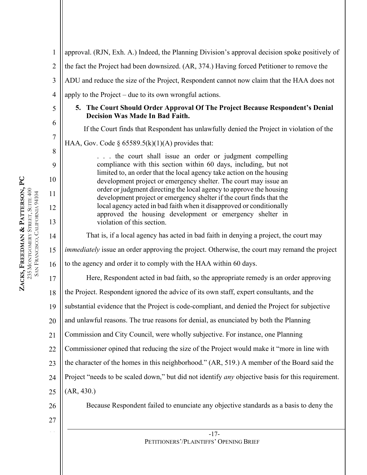| $\mathbf{1}$   | approval. (RJN, Exh. A.) Indeed, the Planning Division's approval decision spoke positively of                                           |
|----------------|------------------------------------------------------------------------------------------------------------------------------------------|
| $\overline{2}$ | the fact the Project had been downsized. (AR, 374.) Having forced Petitioner to remove the                                               |
| 3              | ADU and reduce the size of the Project, Respondent cannot now claim that the HAA does not                                                |
| $\overline{4}$ | apply to the Project – due to its own wrongful actions.                                                                                  |
| 5              | 5. The Court Should Order Approval Of The Project Because Respondent's Denial<br><b>Decision Was Made In Bad Faith.</b>                  |
| 6              | If the Court finds that Respondent has unlawfully denied the Project in violation of the                                                 |
| $\overline{7}$ | HAA, Gov. Code § $65589.5(k)(1)(A)$ provides that:                                                                                       |
| 8              | the court shall issue an order or judgment compelling                                                                                    |
| 9              | compliance with this section within 60 days, including, but not<br>limited to, an order that the local agency take action on the housing |
| 10             | development project or emergency shelter. The court may issue an<br>order or judgment directing the local agency to approve the housing  |
| 11             | development project or emergency shelter if the court finds that the                                                                     |
| 12             | local agency acted in bad faith when it disapproved or conditionally<br>approved the housing development or emergency shelter in         |
| 13             | violation of this section.                                                                                                               |
| 14             | That is, if a local agency has acted in bad faith in denying a project, the court may                                                    |
| 15             | immediately issue an order approving the project. Otherwise, the court may remand the project                                            |
| 16             | to the agency and order it to comply with the HAA within 60 days.                                                                        |
| 17             | Here, Respondent acted in bad faith, so the appropriate remedy is an order approving                                                     |
| 18             | the Project. Respondent ignored the advice of its own staff, expert consultants, and the                                                 |
| 19             | substantial evidence that the Project is code-compliant, and denied the Project for subjective                                           |
| 20             | and unlawful reasons. The true reasons for denial, as enunciated by both the Planning                                                    |
| 21             | Commission and City Council, were wholly subjective. For instance, one Planning                                                          |
| 22             | Commissioner opined that reducing the size of the Project would make it "more in line with                                               |
| 23             | the character of the homes in this neighborhood." (AR, 519.) A member of the Board said the                                              |
| 24             | Project "needs to be scaled down," but did not identify any objective basis for this requirement.                                        |
| 25             | (AR, 430.)                                                                                                                               |
| 26             | Because Respondent failed to enunciate any objective standards as a basis to deny the                                                    |
| 27             |                                                                                                                                          |
|                | $-17-$                                                                                                                                   |

PETITIONERS'/PLAINTIFFS' OPENING BRIEF